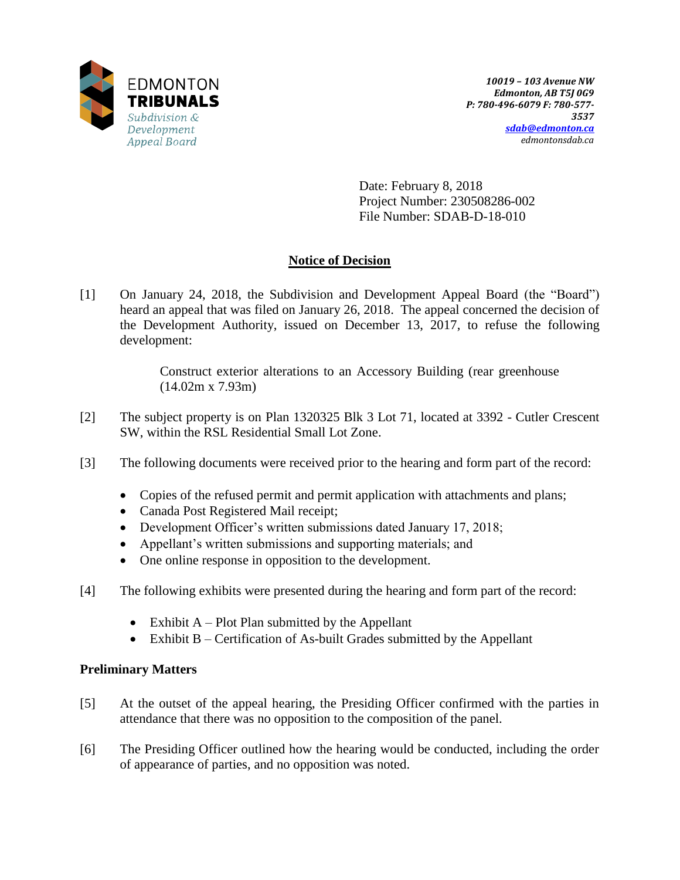

Date: February 8, 2018 Project Number: 230508286-002 File Number: SDAB-D-18-010

# **Notice of Decision**

[1] On January 24, 2018, the Subdivision and Development Appeal Board (the "Board") heard an appeal that was filed on January 26, 2018. The appeal concerned the decision of the Development Authority, issued on December 13, 2017, to refuse the following development:

> Construct exterior alterations to an Accessory Building (rear greenhouse (14.02m x 7.93m)

- [2] The subject property is on Plan 1320325 Blk 3 Lot 71, located at 3392 Cutler Crescent SW, within the RSL Residential Small Lot Zone.
- [3] The following documents were received prior to the hearing and form part of the record:
	- Copies of the refused permit and permit application with attachments and plans;
	- Canada Post Registered Mail receipt;
	- Development Officer's written submissions dated January 17, 2018;
	- Appellant's written submissions and supporting materials; and
	- One online response in opposition to the development.
- [4] The following exhibits were presented during the hearing and form part of the record:
	- Exhibit  $A Plot Plan$  submitted by the Appellant
	- $\bullet$  Exhibit B Certification of As-built Grades submitted by the Appellant

# **Preliminary Matters**

- [5] At the outset of the appeal hearing, the Presiding Officer confirmed with the parties in attendance that there was no opposition to the composition of the panel.
- [6] The Presiding Officer outlined how the hearing would be conducted, including the order of appearance of parties, and no opposition was noted.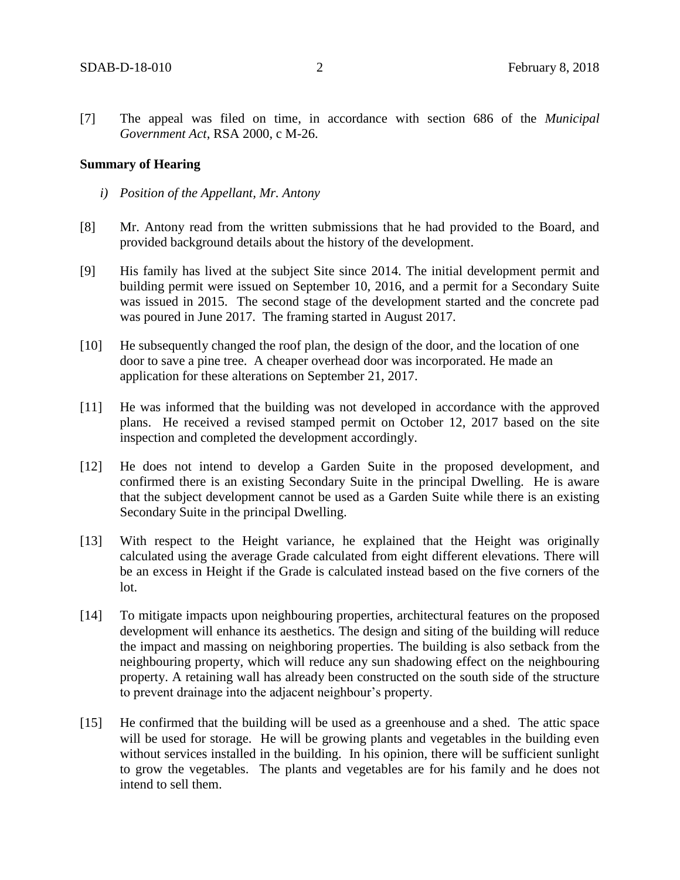[7] The appeal was filed on time, in accordance with section 686 of the *Municipal Government Act*, RSA 2000, c M-26.

#### **Summary of Hearing**

- *i) Position of the Appellant, Mr. Antony*
- [8] Mr. Antony read from the written submissions that he had provided to the Board, and provided background details about the history of the development.
- [9] His family has lived at the subject Site since 2014. The initial development permit and building permit were issued on September 10, 2016, and a permit for a Secondary Suite was issued in 2015. The second stage of the development started and the concrete pad was poured in June 2017. The framing started in August 2017.
- [10] He subsequently changed the roof plan, the design of the door, and the location of one door to save a pine tree. A cheaper overhead door was incorporated. He made an application for these alterations on September 21, 2017.
- [11] He was informed that the building was not developed in accordance with the approved plans. He received a revised stamped permit on October 12, 2017 based on the site inspection and completed the development accordingly.
- [12] He does not intend to develop a Garden Suite in the proposed development, and confirmed there is an existing Secondary Suite in the principal Dwelling. He is aware that the subject development cannot be used as a Garden Suite while there is an existing Secondary Suite in the principal Dwelling.
- [13] With respect to the Height variance, he explained that the Height was originally calculated using the average Grade calculated from eight different elevations. There will be an excess in Height if the Grade is calculated instead based on the five corners of the lot.
- [14] To mitigate impacts upon neighbouring properties, architectural features on the proposed development will enhance its aesthetics. The design and siting of the building will reduce the impact and massing on neighboring properties. The building is also setback from the neighbouring property, which will reduce any sun shadowing effect on the neighbouring property. A retaining wall has already been constructed on the south side of the structure to prevent drainage into the adjacent neighbour's property.
- [15] He confirmed that the building will be used as a greenhouse and a shed. The attic space will be used for storage. He will be growing plants and vegetables in the building even without services installed in the building. In his opinion, there will be sufficient sunlight to grow the vegetables. The plants and vegetables are for his family and he does not intend to sell them.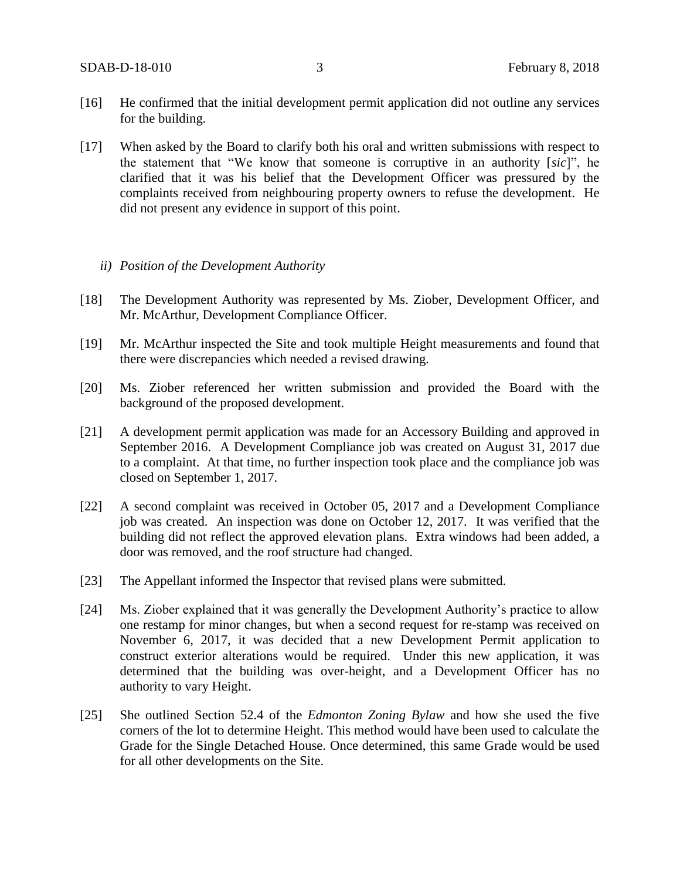- [16] He confirmed that the initial development permit application did not outline any services for the building.
- [17] When asked by the Board to clarify both his oral and written submissions with respect to the statement that "We know that someone is corruptive in an authority [*sic*]", he clarified that it was his belief that the Development Officer was pressured by the complaints received from neighbouring property owners to refuse the development. He did not present any evidence in support of this point.

#### *ii) Position of the Development Authority*

- [18] The Development Authority was represented by Ms. Ziober, Development Officer, and Mr. McArthur, Development Compliance Officer.
- [19] Mr. McArthur inspected the Site and took multiple Height measurements and found that there were discrepancies which needed a revised drawing.
- [20] Ms. Ziober referenced her written submission and provided the Board with the background of the proposed development.
- [21] A development permit application was made for an Accessory Building and approved in September 2016. A Development Compliance job was created on August 31, 2017 due to a complaint. At that time, no further inspection took place and the compliance job was closed on September 1, 2017.
- [22] A second complaint was received in October 05, 2017 and a Development Compliance job was created. An inspection was done on October 12, 2017. It was verified that the building did not reflect the approved elevation plans. Extra windows had been added, a door was removed, and the roof structure had changed.
- [23] The Appellant informed the Inspector that revised plans were submitted.
- [24] Ms. Ziober explained that it was generally the Development Authority's practice to allow one restamp for minor changes, but when a second request for re-stamp was received on November 6, 2017, it was decided that a new Development Permit application to construct exterior alterations would be required. Under this new application, it was determined that the building was over-height, and a Development Officer has no authority to vary Height.
- [25] She outlined Section 52.4 of the *Edmonton Zoning Bylaw* and how she used the five corners of the lot to determine Height. This method would have been used to calculate the Grade for the Single Detached House. Once determined, this same Grade would be used for all other developments on the Site.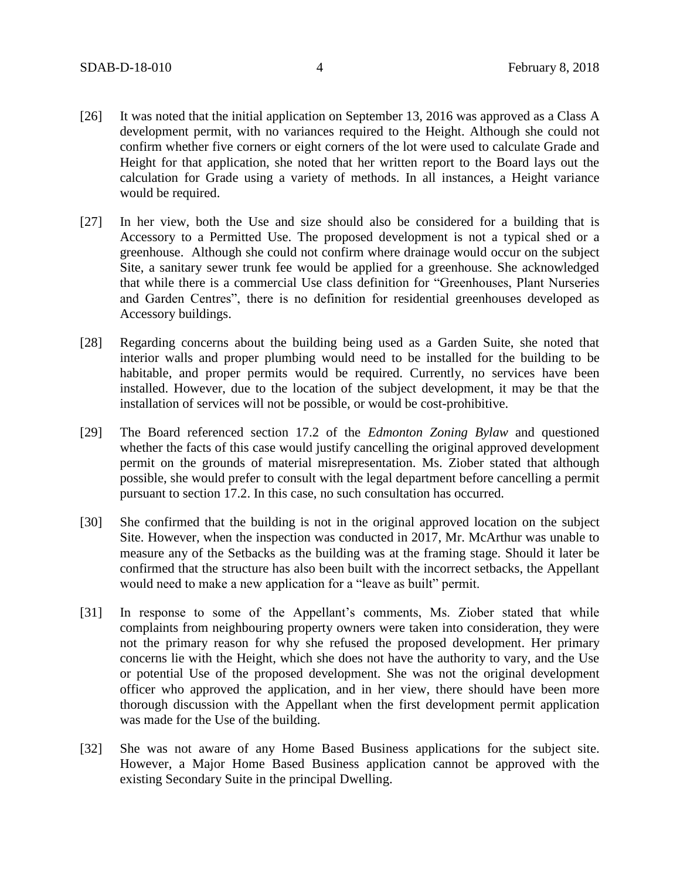- [26] It was noted that the initial application on September 13, 2016 was approved as a Class A development permit, with no variances required to the Height. Although she could not confirm whether five corners or eight corners of the lot were used to calculate Grade and Height for that application, she noted that her written report to the Board lays out the calculation for Grade using a variety of methods. In all instances, a Height variance would be required.
- [27] In her view, both the Use and size should also be considered for a building that is Accessory to a Permitted Use. The proposed development is not a typical shed or a greenhouse. Although she could not confirm where drainage would occur on the subject Site, a sanitary sewer trunk fee would be applied for a greenhouse. She acknowledged that while there is a commercial Use class definition for "Greenhouses, Plant Nurseries and Garden Centres", there is no definition for residential greenhouses developed as Accessory buildings.
- [28] Regarding concerns about the building being used as a Garden Suite, she noted that interior walls and proper plumbing would need to be installed for the building to be habitable, and proper permits would be required. Currently, no services have been installed. However, due to the location of the subject development, it may be that the installation of services will not be possible, or would be cost-prohibitive.
- [29] The Board referenced section 17.2 of the *Edmonton Zoning Bylaw* and questioned whether the facts of this case would justify cancelling the original approved development permit on the grounds of material misrepresentation. Ms. Ziober stated that although possible, she would prefer to consult with the legal department before cancelling a permit pursuant to section 17.2. In this case, no such consultation has occurred.
- [30] She confirmed that the building is not in the original approved location on the subject Site. However, when the inspection was conducted in 2017, Mr. McArthur was unable to measure any of the Setbacks as the building was at the framing stage. Should it later be confirmed that the structure has also been built with the incorrect setbacks, the Appellant would need to make a new application for a "leave as built" permit.
- [31] In response to some of the Appellant's comments, Ms. Ziober stated that while complaints from neighbouring property owners were taken into consideration, they were not the primary reason for why she refused the proposed development. Her primary concerns lie with the Height, which she does not have the authority to vary, and the Use or potential Use of the proposed development. She was not the original development officer who approved the application, and in her view, there should have been more thorough discussion with the Appellant when the first development permit application was made for the Use of the building.
- [32] She was not aware of any Home Based Business applications for the subject site. However, a Major Home Based Business application cannot be approved with the existing Secondary Suite in the principal Dwelling.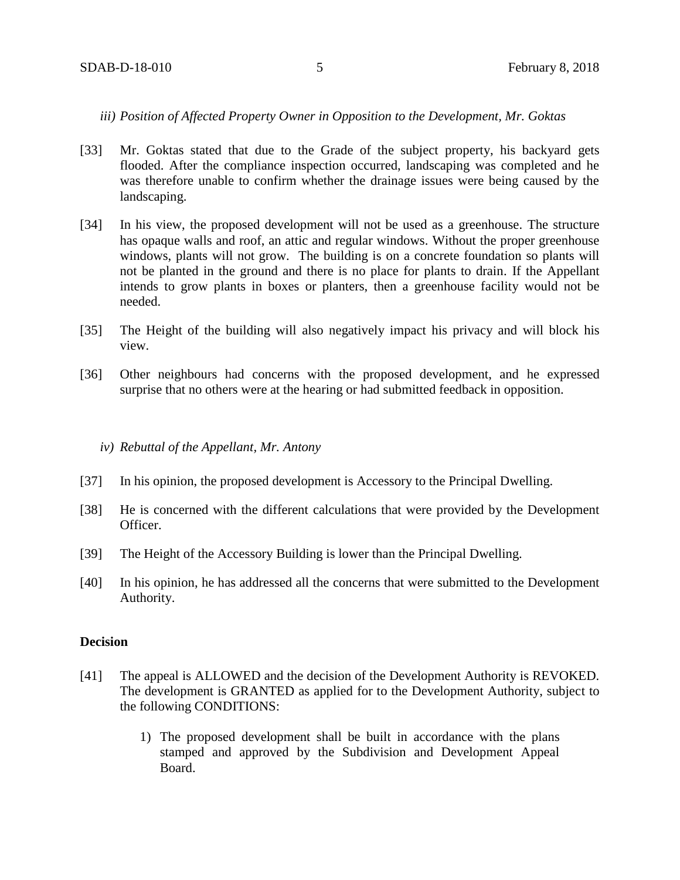# *iii) Position of Affected Property Owner in Opposition to the Development, Mr. Goktas*

- [33] Mr. Goktas stated that due to the Grade of the subject property, his backyard gets flooded. After the compliance inspection occurred, landscaping was completed and he was therefore unable to confirm whether the drainage issues were being caused by the landscaping.
- [34] In his view, the proposed development will not be used as a greenhouse. The structure has opaque walls and roof, an attic and regular windows. Without the proper greenhouse windows, plants will not grow. The building is on a concrete foundation so plants will not be planted in the ground and there is no place for plants to drain. If the Appellant intends to grow plants in boxes or planters, then a greenhouse facility would not be needed.
- [35] The Height of the building will also negatively impact his privacy and will block his view.
- [36] Other neighbours had concerns with the proposed development, and he expressed surprise that no others were at the hearing or had submitted feedback in opposition.

#### *iv) Rebuttal of the Appellant, Mr. Antony*

- [37] In his opinion, the proposed development is Accessory to the Principal Dwelling.
- [38] He is concerned with the different calculations that were provided by the Development Officer.
- [39] The Height of the Accessory Building is lower than the Principal Dwelling.
- [40] In his opinion, he has addressed all the concerns that were submitted to the Development Authority.

#### **Decision**

- [41] The appeal is ALLOWED and the decision of the Development Authority is REVOKED. The development is GRANTED as applied for to the Development Authority, subject to the following CONDITIONS:
	- 1) The proposed development shall be built in accordance with the plans stamped and approved by the Subdivision and Development Appeal Board.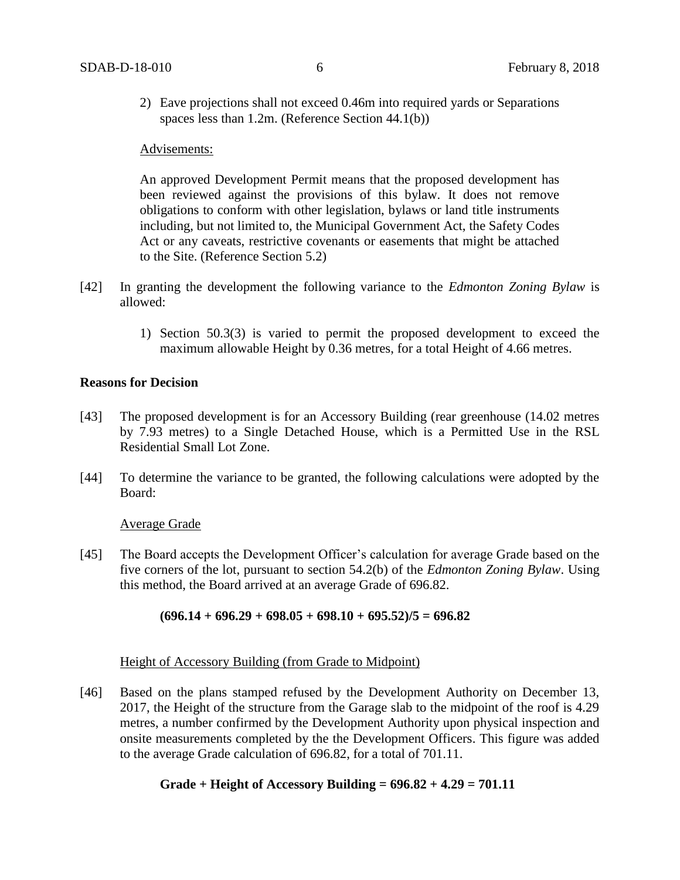2) Eave projections shall not exceed 0.46m into required yards or Separations spaces less than 1.2m. (Reference Section 44.1(b))

#### Advisements:

An approved Development Permit means that the proposed development has been reviewed against the provisions of this bylaw. It does not remove obligations to conform with other legislation, bylaws or land title instruments including, but not limited to, the Municipal Government Act, the Safety Codes Act or any caveats, restrictive covenants or easements that might be attached to the Site. (Reference Section 5.2)

- [42] In granting the development the following variance to the *Edmonton Zoning Bylaw* is allowed:
	- 1) Section 50.3(3) is varied to permit the proposed development to exceed the maximum allowable Height by 0.36 metres, for a total Height of 4.66 metres.

#### **Reasons for Decision**

- [43] The proposed development is for an Accessory Building (rear greenhouse (14.02 metres by 7.93 metres) to a Single Detached House, which is a Permitted Use in the RSL Residential Small Lot Zone.
- [44] To determine the variance to be granted, the following calculations were adopted by the Board:

#### Average Grade

[45] The Board accepts the Development Officer's calculation for average Grade based on the five corners of the lot, pursuant to section 54.2(b) of the *Edmonton Zoning Bylaw*. Using this method, the Board arrived at an average Grade of 696.82.

#### **(696.14 + 696.29 + 698.05 + 698.10 + 695.52)/5 = 696.82**

#### Height of Accessory Building (from Grade to Midpoint)

[46] Based on the plans stamped refused by the Development Authority on December 13, 2017, the Height of the structure from the Garage slab to the midpoint of the roof is 4.29 metres, a number confirmed by the Development Authority upon physical inspection and onsite measurements completed by the the Development Officers. This figure was added to the average Grade calculation of 696.82, for a total of 701.11.

# **Grade + Height of Accessory Building = 696.82 + 4.29 = 701.11**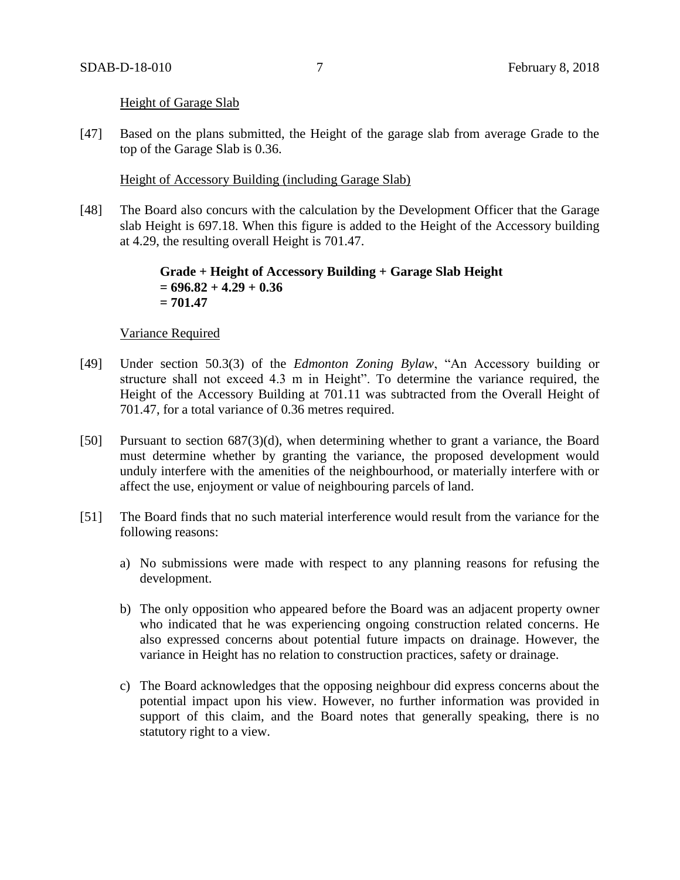## Height of Garage Slab

[47] Based on the plans submitted, the Height of the garage slab from average Grade to the top of the Garage Slab is 0.36.

# Height of Accessory Building (including Garage Slab)

[48] The Board also concurs with the calculation by the Development Officer that the Garage slab Height is 697.18. When this figure is added to the Height of the Accessory building at 4.29, the resulting overall Height is 701.47.

# **Grade + Height of Accessory Building + Garage Slab Height = 696.82 + 4.29 + 0.36 = 701.47**

#### Variance Required

- [49] Under section 50.3(3) of the *Edmonton Zoning Bylaw*, "An Accessory building or structure shall not exceed 4.3 m in Height". To determine the variance required, the Height of the Accessory Building at 701.11 was subtracted from the Overall Height of 701.47, for a total variance of 0.36 metres required.
- [50] Pursuant to section 687(3)(d), when determining whether to grant a variance, the Board must determine whether by granting the variance, the proposed development would unduly interfere with the amenities of the neighbourhood, or materially interfere with or affect the use, enjoyment or value of neighbouring parcels of land.
- [51] The Board finds that no such material interference would result from the variance for the following reasons:
	- a) No submissions were made with respect to any planning reasons for refusing the development.
	- b) The only opposition who appeared before the Board was an adjacent property owner who indicated that he was experiencing ongoing construction related concerns. He also expressed concerns about potential future impacts on drainage. However, the variance in Height has no relation to construction practices, safety or drainage.
	- c) The Board acknowledges that the opposing neighbour did express concerns about the potential impact upon his view. However, no further information was provided in support of this claim, and the Board notes that generally speaking, there is no statutory right to a view.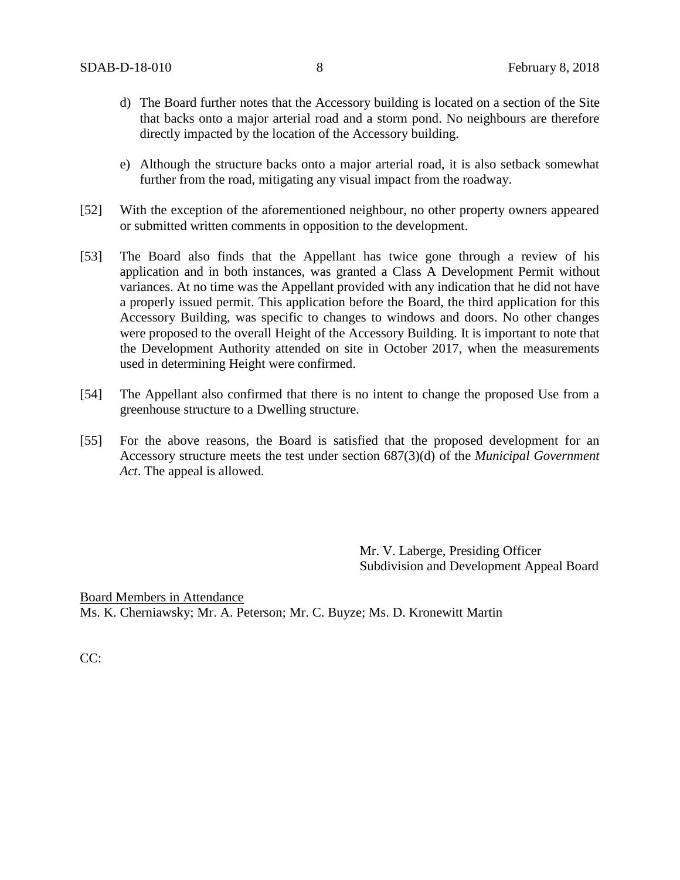- d) The Board further notes that the Accessory building is located on a section of the Site that backs onto a major arterial road and a storm pond. No neighbours are therefore directly impacted by the location of the Accessory building.
- e) Although the structure backs onto a major arterial road, it is also setback somewhat further from the road, mitigating any visual impact from the roadway.
- [52] With the exception of the aforementioned neighbour, no other property owners appeared or submitted written comments in opposition to the development.
- [53] The Board also finds that the Appellant has twice gone through a review of his application and in both instances, was granted a Class A Development Permit without variances. At no time was the Appellant provided with any indication that he did not have a properly issued permit. This application before the Board, the third application for this Accessory Building, was specific to changes to windows and doors. No other changes were proposed to the overall Height of the Accessory Building. It is important to note that the Development Authority attended on site in October 2017, when the measurements used in determining Height were confirmed.
- [54] The Appellant also confirmed that there is no intent to change the proposed Use from a greenhouse structure to a Dwelling structure.
- [55] For the above reasons, the Board is satisfied that the proposed development for an Accessory structure meets the test under section 687(3)(d) of the *Municipal Government Act*. The appeal is allowed.

Mr. V. Laberge, Presiding Officer Subdivision and Development Appeal Board

Board Members in Attendance Ms. K. Cherniawsky; Mr. A. Peterson; Mr. C. Buyze; Ms. D. Kronewitt Martin

CC: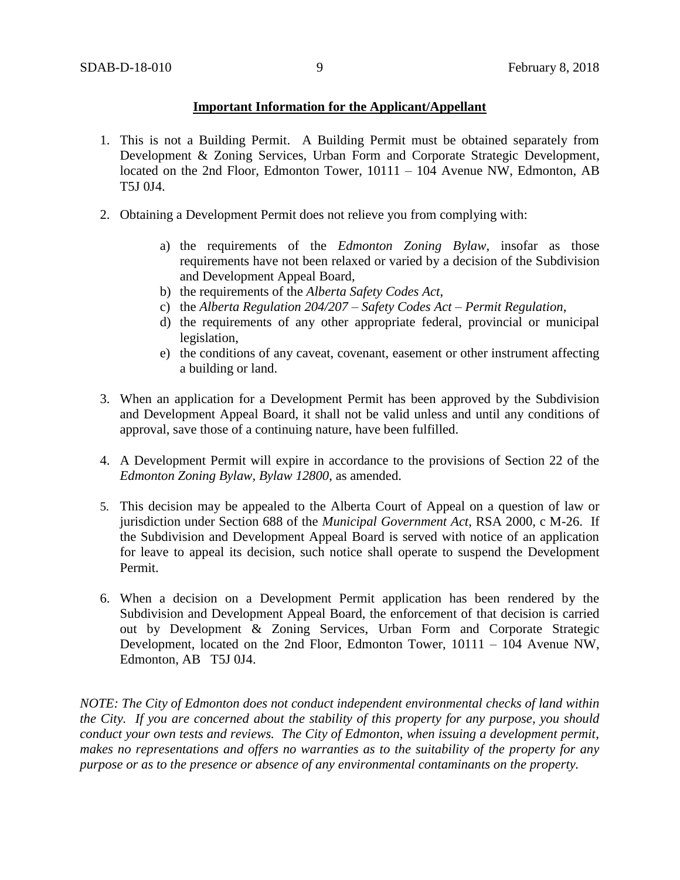# **Important Information for the Applicant/Appellant**

- 1. This is not a Building Permit. A Building Permit must be obtained separately from Development & Zoning Services, Urban Form and Corporate Strategic Development, located on the 2nd Floor, Edmonton Tower, 10111 – 104 Avenue NW, Edmonton, AB T5J 0J4.
- 2. Obtaining a Development Permit does not relieve you from complying with:
	- a) the requirements of the *Edmonton Zoning Bylaw*, insofar as those requirements have not been relaxed or varied by a decision of the Subdivision and Development Appeal Board,
	- b) the requirements of the *Alberta Safety Codes Act*,
	- c) the *Alberta Regulation 204/207 – Safety Codes Act – Permit Regulation*,
	- d) the requirements of any other appropriate federal, provincial or municipal legislation,
	- e) the conditions of any caveat, covenant, easement or other instrument affecting a building or land.
- 3. When an application for a Development Permit has been approved by the Subdivision and Development Appeal Board, it shall not be valid unless and until any conditions of approval, save those of a continuing nature, have been fulfilled.
- 4. A Development Permit will expire in accordance to the provisions of Section 22 of the *Edmonton Zoning Bylaw, Bylaw 12800*, as amended.
- 5. This decision may be appealed to the Alberta Court of Appeal on a question of law or jurisdiction under Section 688 of the *Municipal Government Act*, RSA 2000, c M-26. If the Subdivision and Development Appeal Board is served with notice of an application for leave to appeal its decision, such notice shall operate to suspend the Development Permit.
- 6. When a decision on a Development Permit application has been rendered by the Subdivision and Development Appeal Board, the enforcement of that decision is carried out by Development & Zoning Services, Urban Form and Corporate Strategic Development, located on the 2nd Floor, Edmonton Tower, 10111 – 104 Avenue NW, Edmonton, AB T5J 0J4.

*NOTE: The City of Edmonton does not conduct independent environmental checks of land within the City. If you are concerned about the stability of this property for any purpose, you should conduct your own tests and reviews. The City of Edmonton, when issuing a development permit, makes no representations and offers no warranties as to the suitability of the property for any purpose or as to the presence or absence of any environmental contaminants on the property.*